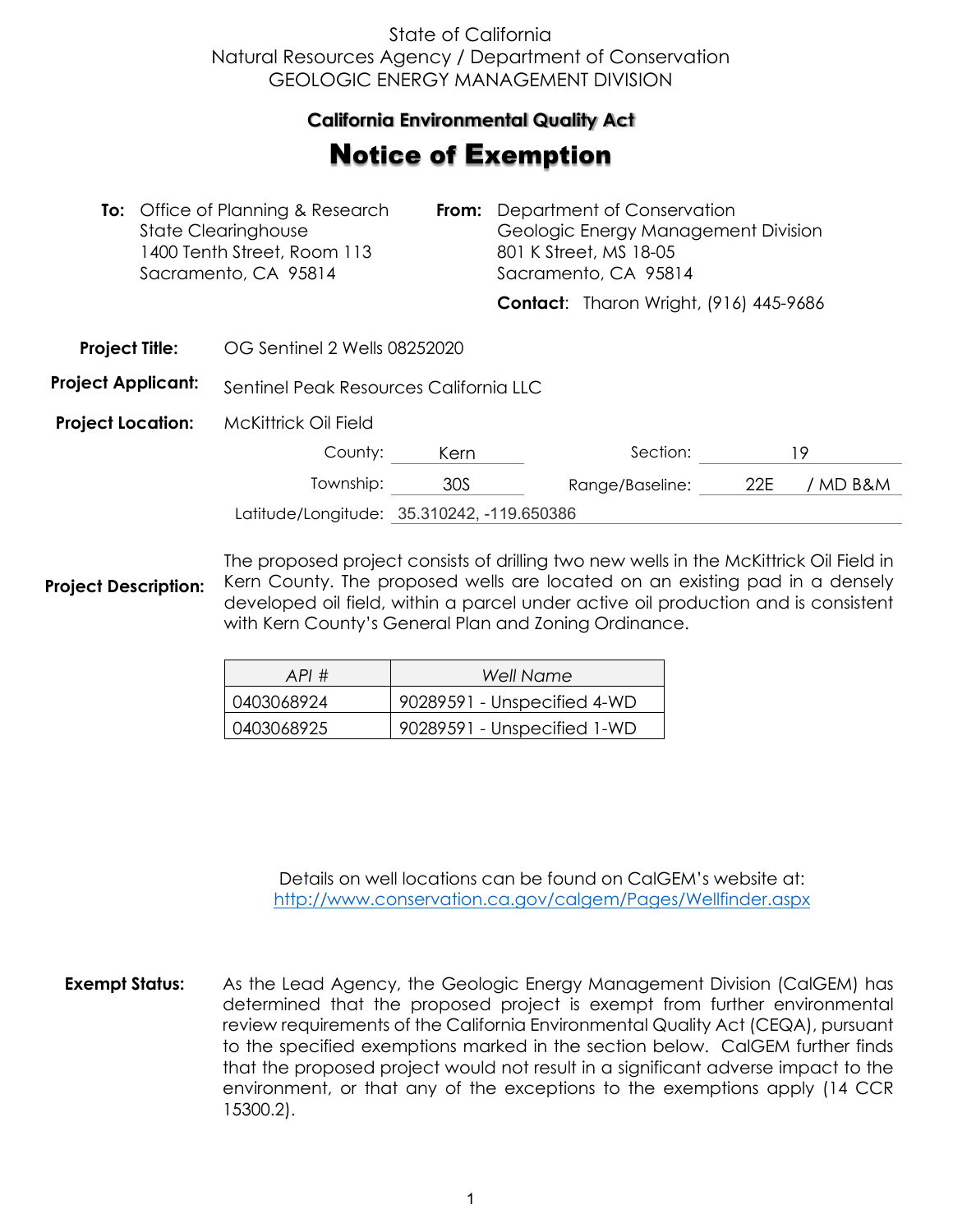## State of California Natural Resources Agency / Department of Conservation GEOLOGIC ENERGY MANAGEMENT DIVISION

## **California Environmental Quality Act**  California Environmental Quality Act

## **Notice of Exemption**

|                           | <b>To:</b> Office of Planning & Research<br><b>State Clearinghouse</b><br>1400 Tenth Street, Room 113<br>Sacramento, CA 95814 |                                            | From: | Department of Conservation<br>Geologic Energy Management Division<br>801 K Street, MS 18-05<br>Sacramento, CA 95814 |                                               |     |          |
|---------------------------|-------------------------------------------------------------------------------------------------------------------------------|--------------------------------------------|-------|---------------------------------------------------------------------------------------------------------------------|-----------------------------------------------|-----|----------|
|                           |                                                                                                                               |                                            |       |                                                                                                                     | <b>Contact:</b> Tharon Wright, (916) 445-9686 |     |          |
| <b>Project Title:</b>     |                                                                                                                               | OG Sentinel 2 Wells 08252020               |       |                                                                                                                     |                                               |     |          |
| <b>Project Applicant:</b> |                                                                                                                               | Sentinel Peak Resources California LLC     |       |                                                                                                                     |                                               |     |          |
| <b>Project Location:</b>  |                                                                                                                               | <b>McKittrick Oil Field</b>                |       |                                                                                                                     |                                               |     |          |
|                           |                                                                                                                               | County:                                    | Kern  |                                                                                                                     | Section:                                      |     | 19       |
|                           |                                                                                                                               | Township:                                  | 30S   |                                                                                                                     | Range/Baseline:                               | 22E | / MD B&M |
|                           |                                                                                                                               | Latitude/Longitude: 35.310242, -119.650386 |       |                                                                                                                     |                                               |     |          |

**Project Description:** The proposed project consists of drilling two new wells in the McKittrick Oil Field in Kern County. The proposed wells are located on an existing pad in a densely developed oil field, within a parcel under active oil production and is consistent with Kern County's General Plan and Zoning Ordinance.

| API#       | Well Name                   |
|------------|-----------------------------|
| 0403068924 | 90289591 - Unspecified 4-WD |
| 0403068925 | 90289591 - Unspecified 1-WD |

Details on well locations can be found on CalGEM's website at: <http://www.conservation.ca.gov/calgem/Pages/Wellfinder.aspx>

**Exempt Status:** As the Lead Agency, the Geologic Energy Management Division (CalGEM) has determined that the proposed project is exempt from further environmental review requirements of the California Environmental Quality Act (CEQA), pursuant to the specified exemptions marked in the section below. CalGEM further finds that the proposed project would not result in a significant adverse impact to the environment, or that any of the exceptions to the exemptions apply (14 CCR 15300.2).